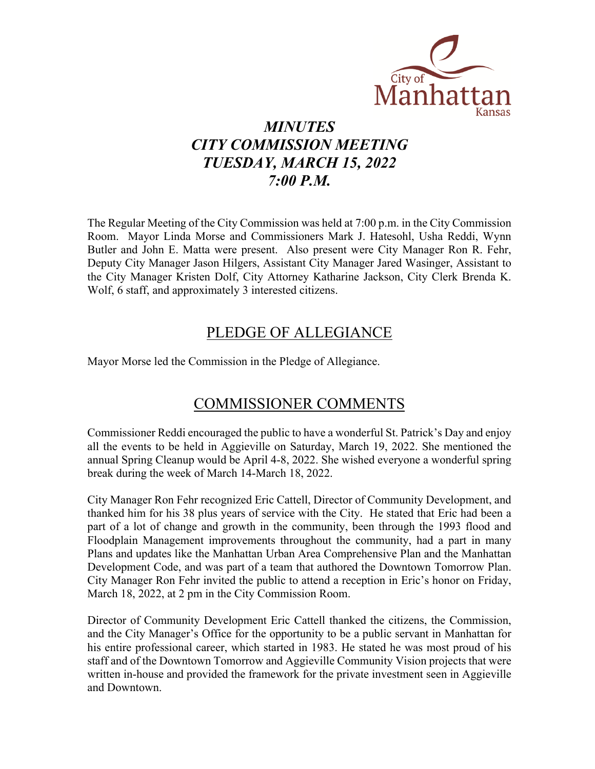

# *MINUTES CITY COMMISSION MEETING TUESDAY, MARCH 15, 2022 7:00 P.M.*

The Regular Meeting of the City Commission was held at 7:00 p.m. in the City Commission Room. Mayor Linda Morse and Commissioners Mark J. Hatesohl, Usha Reddi, Wynn Butler and John E. Matta were present. Also present were City Manager Ron R. Fehr, Deputy City Manager Jason Hilgers, Assistant City Manager Jared Wasinger, Assistant to the City Manager Kristen Dolf, City Attorney Katharine Jackson, City Clerk Brenda K. Wolf, 6 staff, and approximately 3 interested citizens.

# PLEDGE OF ALLEGIANCE

Mayor Morse led the Commission in the Pledge of Allegiance.

# COMMISSIONER COMMENTS

Commissioner Reddi encouraged the public to have a wonderful St. Patrick's Day and enjoy all the events to be held in Aggieville on Saturday, March 19, 2022. She mentioned the annual Spring Cleanup would be April 4-8, 2022. She wished everyone a wonderful spring break during the week of March 14-March 18, 2022.

City Manager Ron Fehr recognized Eric Cattell, Director of Community Development, and thanked him for his 38 plus years of service with the City. He stated that Eric had been a part of a lot of change and growth in the community, been through the 1993 flood and Floodplain Management improvements throughout the community, had a part in many Plans and updates like the Manhattan Urban Area Comprehensive Plan and the Manhattan Development Code, and was part of a team that authored the Downtown Tomorrow Plan. City Manager Ron Fehr invited the public to attend a reception in Eric's honor on Friday, March 18, 2022, at 2 pm in the City Commission Room.

Director of Community Development Eric Cattell thanked the citizens, the Commission, and the City Manager's Office for the opportunity to be a public servant in Manhattan for his entire professional career, which started in 1983. He stated he was most proud of his staff and of the Downtown Tomorrow and Aggieville Community Vision projects that were written in-house and provided the framework for the private investment seen in Aggieville and Downtown.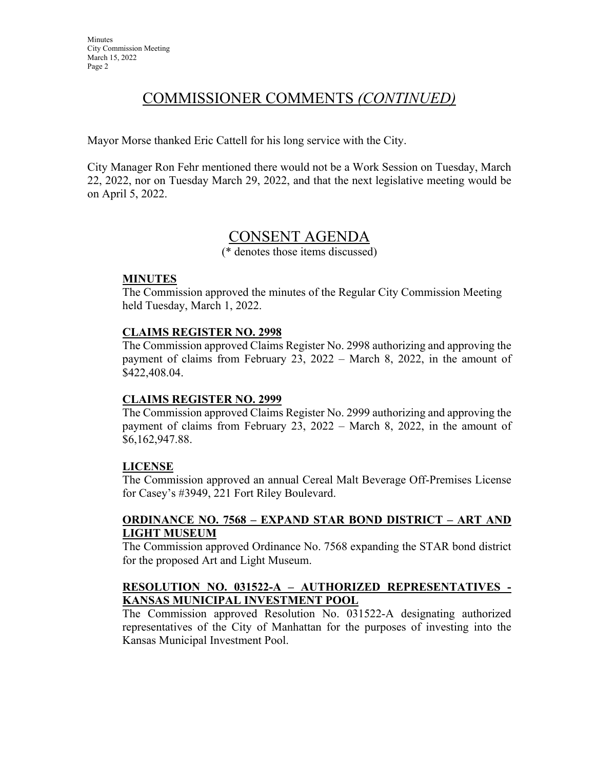## COMMISSIONER COMMENTS *(CONTINUED)*

Mayor Morse thanked Eric Cattell for his long service with the City.

City Manager Ron Fehr mentioned there would not be a Work Session on Tuesday, March 22, 2022, nor on Tuesday March 29, 2022, and that the next legislative meeting would be on April 5, 2022.

## CONSENT AGENDA

(\* denotes those items discussed)

#### **MINUTES**

The Commission approved the minutes of the Regular City Commission Meeting held Tuesday, March 1, 2022.

#### **CLAIMS REGISTER NO. 2998**

 The Commission approved Claims Register No. 2998 authorizing and approving the payment of claims from February 23, 2022 – March 8, 2022, in the amount of \$422,408.04.

#### **CLAIMS REGISTER NO. 2999**

 The Commission approved Claims Register No. 2999 authorizing and approving the payment of claims from February 23, 2022 – March 8, 2022, in the amount of \$6,162,947.88.

#### **LICENSE**

The Commission approved an annual Cereal Malt Beverage Off-Premises License for Casey's #3949, 221 Fort Riley Boulevard.

#### **ORDINANCE NO. 7568 – EXPAND STAR BOND DISTRICT – ART AND LIGHT MUSEUM**

 The Commission approved Ordinance No. 7568 expanding the STAR bond district for the proposed Art and Light Museum.

#### **RESOLUTION NO. 031522-A – AUTHORIZED REPRESENTATIVES - KANSAS MUNICIPAL INVESTMENT POOL**

 The Commission approved Resolution No. 031522-A designating authorized representatives of the City of Manhattan for the purposes of investing into the Kansas Municipal Investment Pool.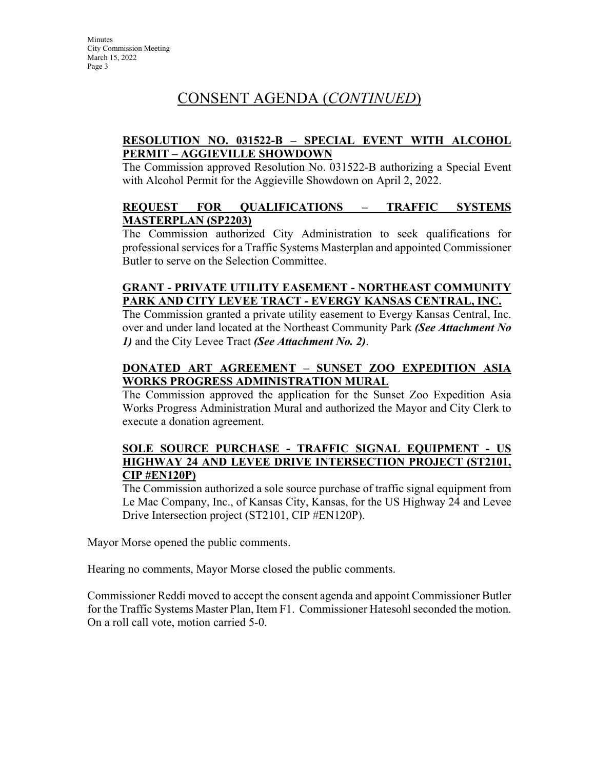# CONSENT AGENDA (*CONTINUED*)

#### **RESOLUTION NO. 031522-B – SPECIAL EVENT WITH ALCOHOL PERMIT – AGGIEVILLE SHOWDOWN**

 The Commission approved Resolution No. 031522-B authorizing a Special Event with Alcohol Permit for the Aggieville Showdown on April 2, 2022.

#### **REQUEST FOR QUALIFICATIONS – TRAFFIC SYSTEMS MASTERPLAN (SP2203)**

 The Commission authorized City Administration to seek qualifications for professional services for a Traffic Systems Masterplan and appointed Commissioner Butler to serve on the Selection Committee.

#### **GRANT - PRIVATE UTILITY EASEMENT - NORTHEAST COMMUNITY PARK AND CITY LEVEE TRACT - EVERGY KANSAS CENTRAL, INC.**

The Commission granted a private utility easement to Evergy Kansas Central, Inc. over and under land located at the Northeast Community Park *(See Attachment No 1)* and the City Levee Tract *(See Attachment No. 2)*.

### **DONATED ART AGREEMENT – SUNSET ZOO EXPEDITION ASIA WORKS PROGRESS ADMINISTRATION MURAL**

 The Commission approved the application for the Sunset Zoo Expedition Asia Works Progress Administration Mural and authorized the Mayor and City Clerk to execute a donation agreement.

#### **SOLE SOURCE PURCHASE - TRAFFIC SIGNAL EQUIPMENT - US HIGHWAY 24 AND LEVEE DRIVE INTERSECTION PROJECT (ST2101, CIP #EN120P)**

 The Commission authorized a sole source purchase of traffic signal equipment from Le Mac Company, Inc., of Kansas City, Kansas, for the US Highway 24 and Levee Drive Intersection project (ST2101, CIP #EN120P).

Mayor Morse opened the public comments.

Hearing no comments, Mayor Morse closed the public comments.

Commissioner Reddi moved to accept the consent agenda and appoint Commissioner Butler for the Traffic Systems Master Plan, Item F1. Commissioner Hatesohl seconded the motion. On a roll call vote, motion carried 5-0.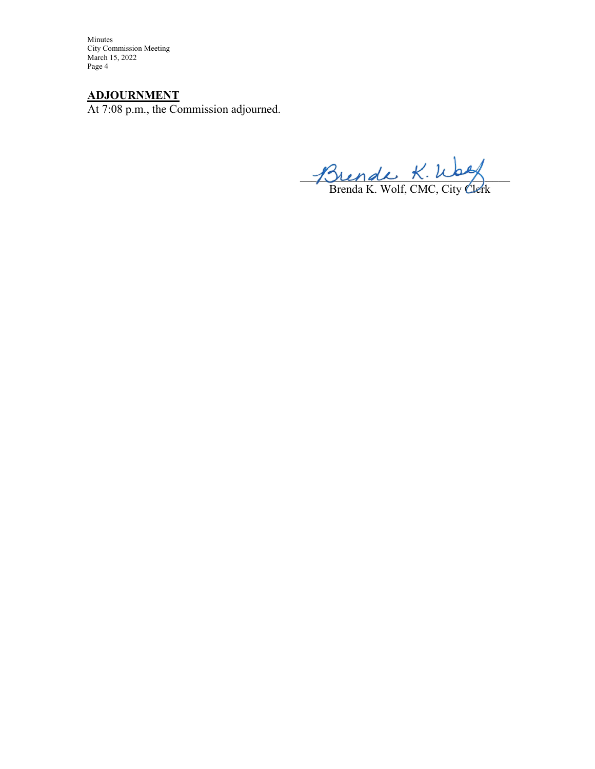Minutes City Commission Meeting March 15, 2022 Page 4

### **ADJOURNMENT**

At 7:08 p.m., the Commission adjourned.

 $J\Omega$  endle  $K.\nu$ 

Brenda K. Wolf, CMC, City Clerk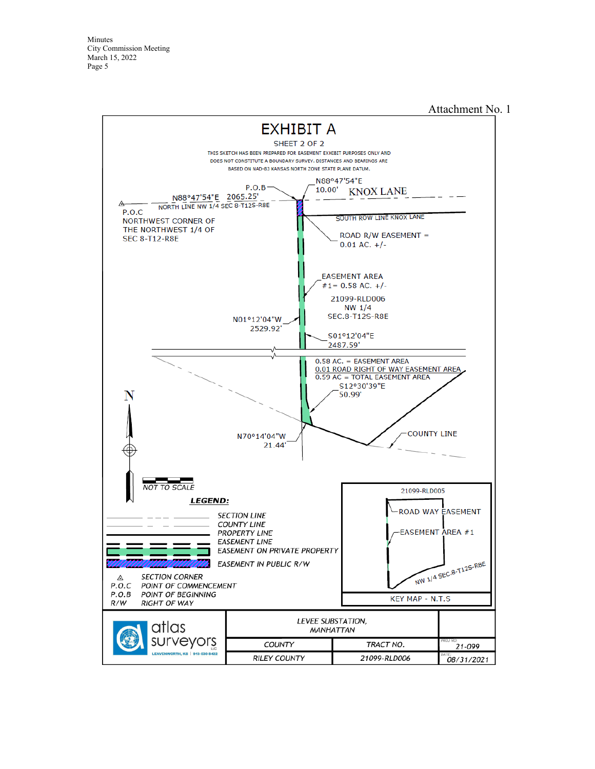Minutes City Commission Meeting March 15, 2022 Page 5

#### Attachment No. 1